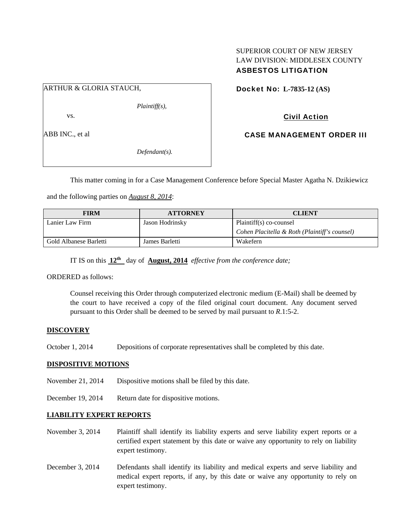## SUPERIOR COURT OF NEW JERSEY LAW DIVISION: MIDDLESEX COUNTY ASBESTOS LITIGATION

## ARTHUR & GLORIA STAUCH,

*Plaintiff(s),* 

vs.

ABB INC., et al

*Defendant(s).* 

Docket No: **L-7835-12 (AS)** 

## Civil Action

CASE MANAGEMENT ORDER III

This matter coming in for a Case Management Conference before Special Master Agatha N. Dzikiewicz

and the following parties on *August 8, 2014*:

| <b>FIRM</b>            | <b>ATTORNEY</b> | <b>CLIENT</b>                                 |
|------------------------|-----------------|-----------------------------------------------|
| Lanier Law Firm        | Jason Hodrinsky | Plaintiff(s) co-counsel                       |
|                        |                 | Cohen Placitella & Roth (Plaintiff's counsel) |
| Gold Albanese Barletti | James Barletti  | Wakefern                                      |

IT IS on this **12th** day of **August, 2014** *effective from the conference date;*

ORDERED as follows:

Counsel receiving this Order through computerized electronic medium (E-Mail) shall be deemed by the court to have received a copy of the filed original court document. Any document served pursuant to this Order shall be deemed to be served by mail pursuant to *R*.1:5-2.

## **DISCOVERY**

October 1, 2014 Depositions of corporate representatives shall be completed by this date.

#### **DISPOSITIVE MOTIONS**

November 21, 2014 Dispositive motions shall be filed by this date.

December 19, 2014 Return date for dispositive motions.

## **LIABILITY EXPERT REPORTS**

- November 3, 2014 Plaintiff shall identify its liability experts and serve liability expert reports or a certified expert statement by this date or waive any opportunity to rely on liability expert testimony.
- December 3, 2014 Defendants shall identify its liability and medical experts and serve liability and medical expert reports, if any, by this date or waive any opportunity to rely on expert testimony.